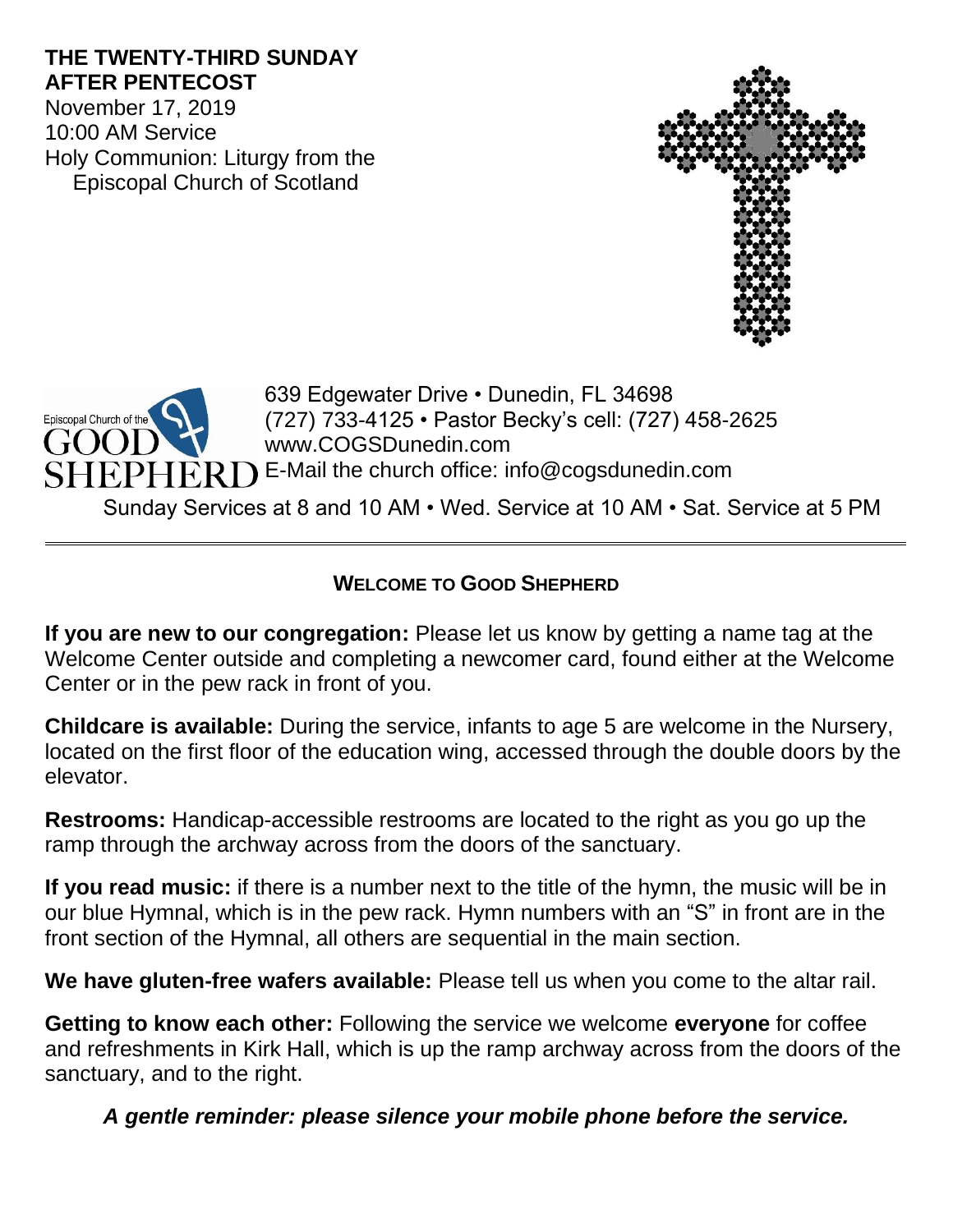## **THE TWENTY-THIRD SUNDAY AFTER PENTECOST**

November 17, 2019 10:00 AM Service Holy Communion: Liturgy from the Episcopal Church of Scotland





639 Edgewater Drive • Dunedin, FL 34698 (727) 733-4125 • Pastor Becky's cell: (727) 458-2625 www.COGSDunedin.com E-Mail the church office: info@cogsdunedin.com

Sunday Services at 8 and 10 AM • Wed. Service at 10 AM • Sat. Service at 5 PM

## **WELCOME TO GOOD SHEPHERD**

**If you are new to our congregation:** Please let us know by getting a name tag at the Welcome Center outside and completing a newcomer card, found either at the Welcome Center or in the pew rack in front of you.

**Childcare is available:** During the service, infants to age 5 are welcome in the Nursery, located on the first floor of the education wing, accessed through the double doors by the elevator.

**Restrooms:** Handicap-accessible restrooms are located to the right as you go up the ramp through the archway across from the doors of the sanctuary.

**If you read music:** if there is a number next to the title of the hymn, the music will be in our blue Hymnal, which is in the pew rack. Hymn numbers with an "S" in front are in the front section of the Hymnal, all others are sequential in the main section.

**We have gluten-free wafers available:** Please tell us when you come to the altar rail.

**Getting to know each other:** Following the service we welcome **everyone** for coffee and refreshments in Kirk Hall, which is up the ramp archway across from the doors of the sanctuary, and to the right.

*A gentle reminder: please silence your mobile phone before the service.*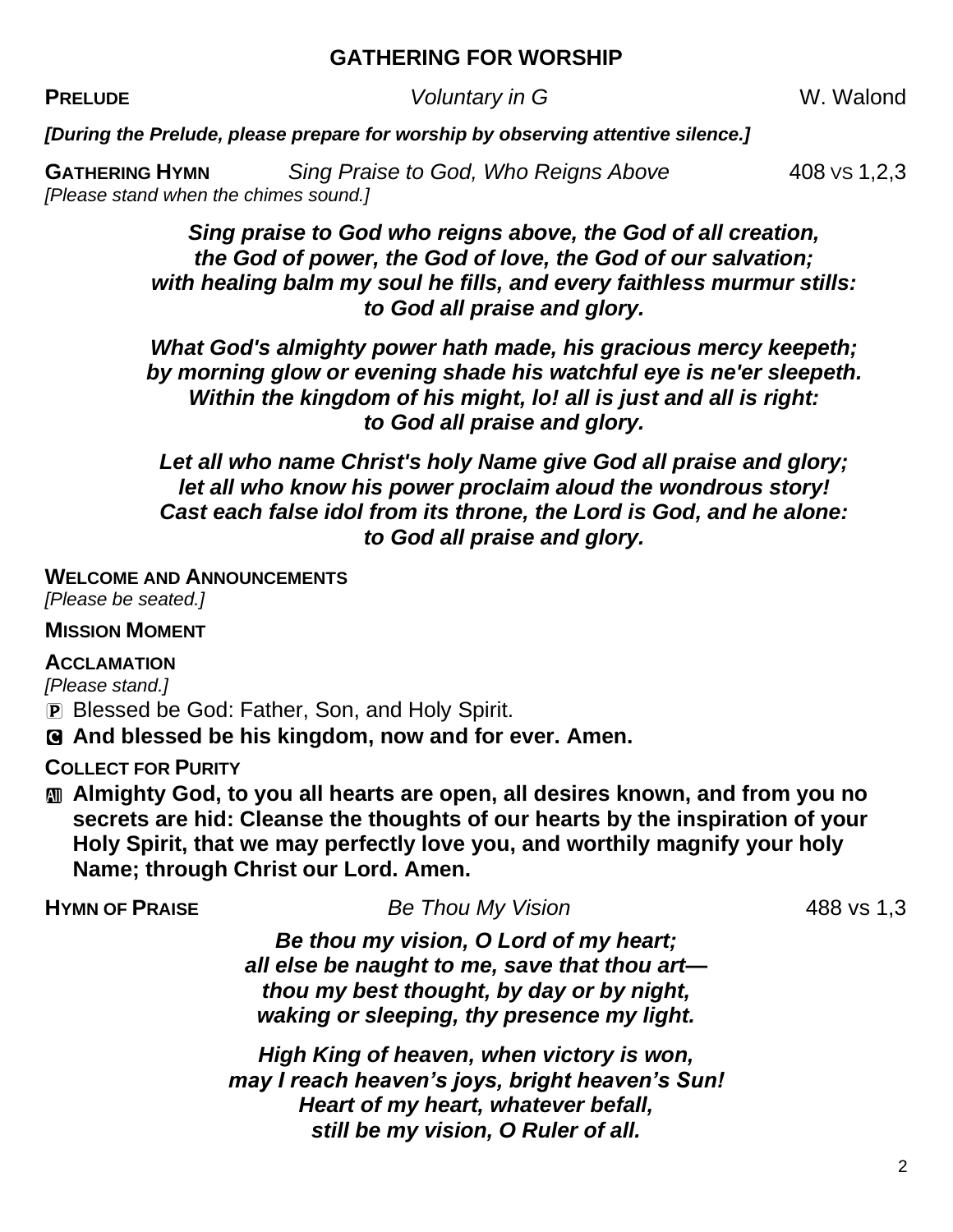## **GATHERING FOR WORSHIP**

**PRELUDE** *Voluntary in G* W. Walond

*[During the Prelude, please prepare for worship by observing attentive silence.]*

**GATHERING HYMN** Sing Praise to God, Who Reigns Above 408 vs 1,2,3 *[Please stand when the chimes sound.]*

*Sing praise to God who reigns above, the God of all creation, the God of power, the God of love, the God of our salvation; with healing balm my soul he fills, and every faithless murmur stills: to God all praise and glory.* 

*What God's almighty power hath made, his gracious mercy keepeth; by morning glow or evening shade his watchful eye is ne'er sleepeth. Within the kingdom of his might, lo! all is just and all is right: to God all praise and glory.*

*Let all who name Christ's holy Name give God all praise and glory; let all who know his power proclaim aloud the wondrous story! Cast each false idol from its throne, the Lord is God, and he alone: to God all praise and glory.*

**WELCOME AND ANNOUNCEMENTS**

*[Please be seated.]*

**MISSION MOMENT**

**ACCLAMATION**

*[Please stand.]*

P Blessed be God: Father, Son, and Holy Spirit.

C **And blessed be his kingdom, now and for ever. Amen.**

**COLLECT FOR PURITY**

a **Almighty God, to you all hearts are open, all desires known, and from you no secrets are hid: Cleanse the thoughts of our hearts by the inspiration of your Holy Spirit, that we may perfectly love you, and worthily magnify your holy Name; through Christ our Lord. Amen.**

| <b>HYMN OF PRAISE</b> | <b>Be Thou My Vision</b>                                                                | 488 vs 1,3 |
|-----------------------|-----------------------------------------------------------------------------------------|------------|
|                       | Be thou my vision, O Lord of my heart;<br>all else be naught to me, save that thou art- |            |
|                       | thou my best thought, by day or by night,                                               |            |
|                       | waking or sleeping, thy presence my light.                                              |            |

*High King of heaven, when victory is won, may I reach heaven's joys, bright heaven's Sun! Heart of my heart, whatever befall, still be my vision, O Ruler of all.*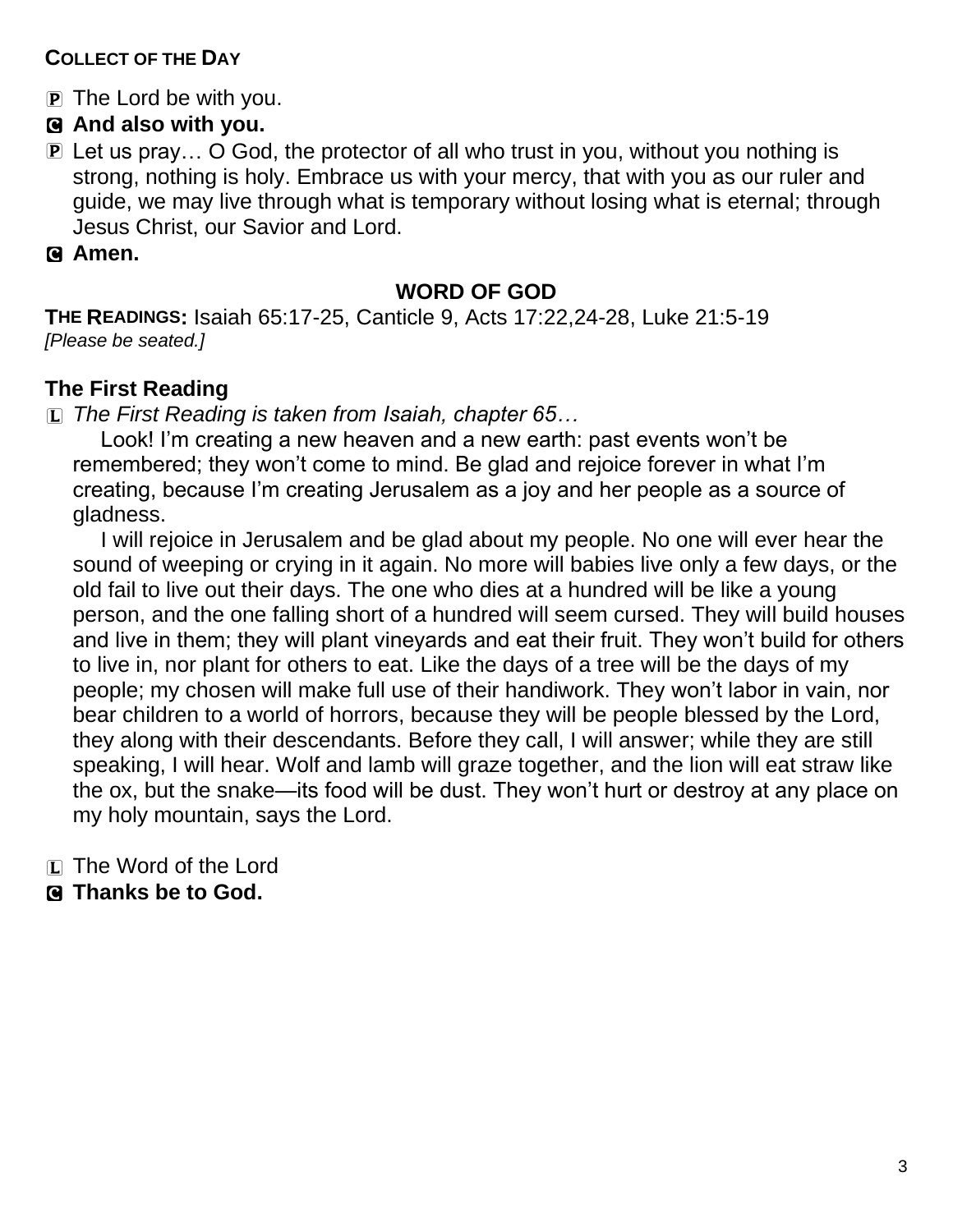## **COLLECT OF THE DAY**

P The Lord be with you.

## C **And also with you.**

- P Let us pray... O God, the protector of all who trust in you, without you nothing is strong, nothing is holy. Embrace us with your mercy, that with you as our ruler and guide, we may live through what is temporary without losing what is eternal; through Jesus Christ, our Savior and Lord.
- C **Amen.**

## **WORD OF GOD**

**THE READINGS:** Isaiah 65:17-25, Canticle 9, Acts 17:22,24-28, Luke 21:5-19 *[Please be seated.]*

## **The First Reading**

L *The First Reading is taken from Isaiah, chapter 65…*

Look! I'm creating a new heaven and a new earth: past events won't be remembered; they won't come to mind. Be glad and rejoice forever in what I'm creating, because I'm creating Jerusalem as a joy and her people as a source of gladness.

I will rejoice in Jerusalem and be glad about my people. No one will ever hear the sound of weeping or crying in it again. No more will babies live only a few days, or the old fail to live out their days. The one who dies at a hundred will be like a young person, and the one falling short of a hundred will seem cursed. They will build houses and live in them; they will plant vineyards and eat their fruit. They won't build for others to live in, nor plant for others to eat. Like the days of a tree will be the days of my people; my chosen will make full use of their handiwork. They won't labor in vain, nor bear children to a world of horrors, because they will be people blessed by the Lord, they along with their descendants. Before they call, I will answer; while they are still speaking, I will hear. Wolf and lamb will graze together, and the lion will eat straw like the ox, but the snake—its food will be dust. They won't hurt or destroy at any place on my holy mountain, says the Lord.

L The Word of the Lord

C **Thanks be to God.**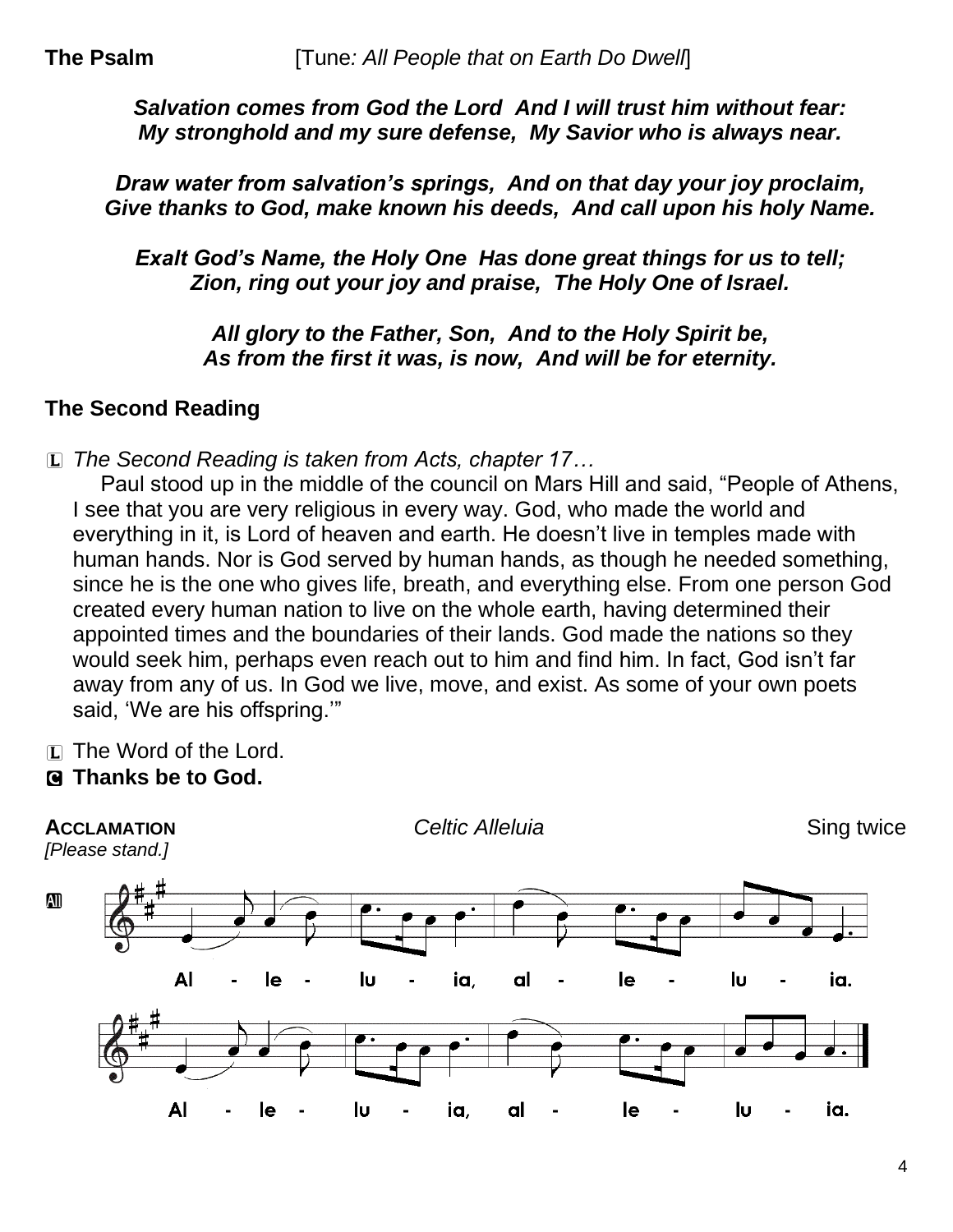*Salvation comes from God the Lord And I will trust him without fear: My stronghold and my sure defense, My Savior who is always near.*

*Draw water from salvation's springs, And on that day your joy proclaim, Give thanks to God, make known his deeds, And call upon his holy Name.*

*Exalt God's Name, the Holy One Has done great things for us to tell; Zion, ring out your joy and praise, The Holy One of Israel.*

*All glory to the Father, Son, And to the Holy Spirit be, As from the first it was, is now, And will be for eternity.*

## **The Second Reading**

L *The Second Reading is taken from Acts, chapter 17…*

Paul stood up in the middle of the council on Mars Hill and said, "People of Athens, I see that you are very religious in every way. God, who made the world and everything in it, is Lord of heaven and earth. He doesn't live in temples made with human hands. Nor is God served by human hands, as though he needed something, since he is the one who gives life, breath, and everything else. From one person God created every human nation to live on the whole earth, having determined their appointed times and the boundaries of their lands. God made the nations so they would seek him, perhaps even reach out to him and find him. In fact, God isn't far away from any of us. In God we live, move, and exist. As some of your own poets said, 'We are his offspring.'"

L The Word of the Lord.

## C **Thanks be to God.**



4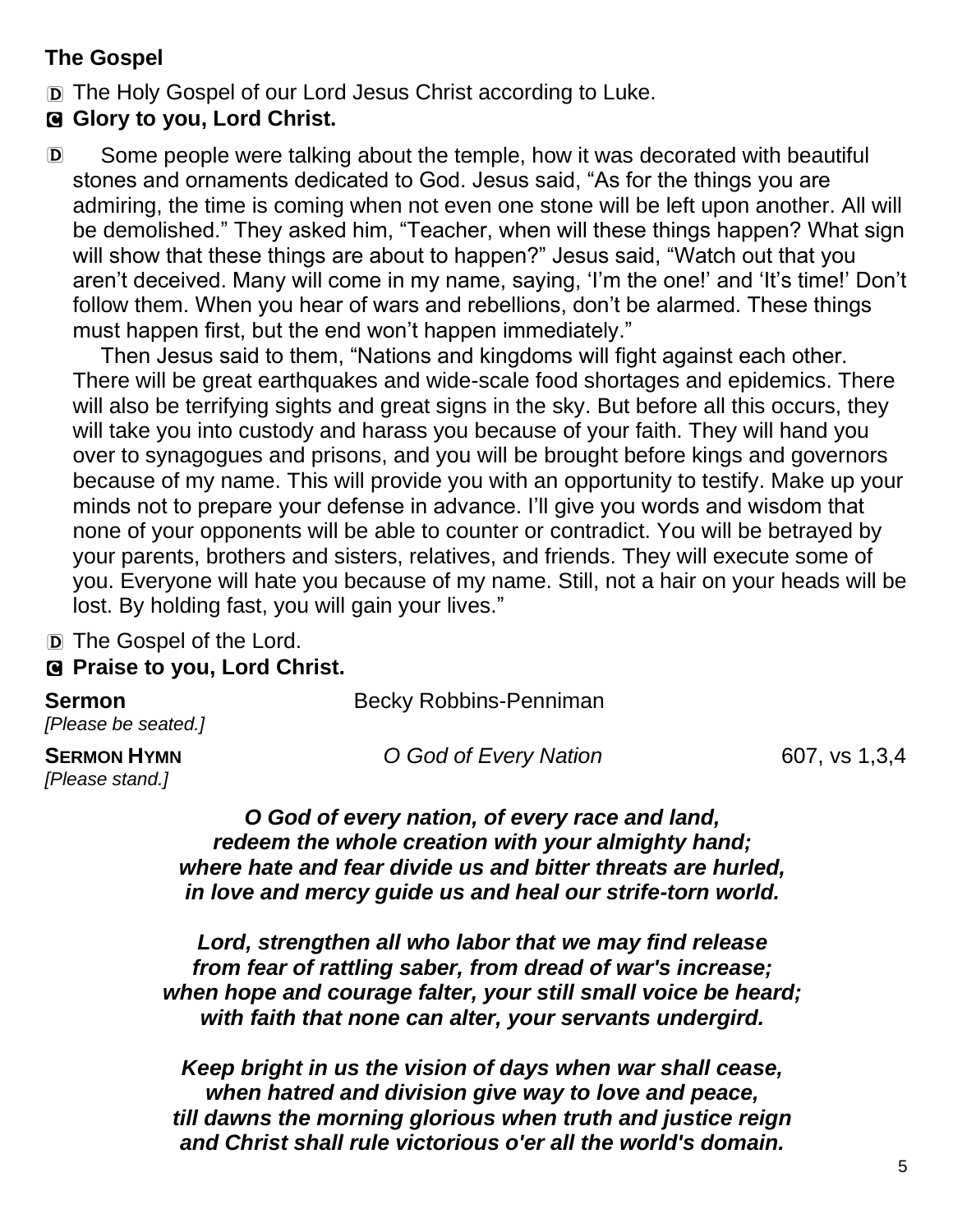## **The Gospel**

D The Holy Gospel of our Lord Jesus Christ according to Luke.

## C **Glory to you, Lord Christ.**

D Some people were talking about the temple, how it was decorated with beautiful stones and ornaments dedicated to God. Jesus said, "As for the things you are admiring, the time is coming when not even one stone will be left upon another. All will be demolished." They asked him, "Teacher, when will these things happen? What sign will show that these things are about to happen?" Jesus said, "Watch out that you aren't deceived. Many will come in my name, saying, 'I'm the one!' and 'It's time!' Don't follow them. When you hear of wars and rebellions, don't be alarmed. These things must happen first, but the end won't happen immediately."

Then Jesus said to them, "Nations and kingdoms will fight against each other. There will be great earthquakes and wide-scale food shortages and epidemics. There will also be terrifying sights and great signs in the sky. But before all this occurs, they will take you into custody and harass you because of your faith. They will hand you over to synagogues and prisons, and you will be brought before kings and governors because of my name. This will provide you with an opportunity to testify. Make up your minds not to prepare your defense in advance. I'll give you words and wisdom that none of your opponents will be able to counter or contradict. You will be betrayed by your parents, brothers and sisters, relatives, and friends. They will execute some of you. Everyone will hate you because of my name. Still, not a hair on your heads will be lost. By holding fast, you will gain your lives."

D The Gospel of the Lord.

## C **Praise to you, Lord Christ.**

| <b>Sermon</b><br>[Please be seated.]  | Becky Robbins-Penniman |               |
|---------------------------------------|------------------------|---------------|
| <b>SERMON HYMN</b><br>[Please stand.] | O God of Every Nation  | 607, vs 1,3,4 |

*O God of every nation, of every race and land, redeem the whole creation with your almighty hand; where hate and fear divide us and bitter threats are hurled, in love and mercy guide us and heal our strife-torn world.*

*Lord, strengthen all who labor that we may find release from fear of rattling saber, from dread of war's increase; when hope and courage falter, your still small voice be heard; with faith that none can alter, your servants undergird.*

*Keep bright in us the vision of days when war shall cease, when hatred and division give way to love and peace, till dawns the morning glorious when truth and justice reign and Christ shall rule victorious o'er all the world's domain.*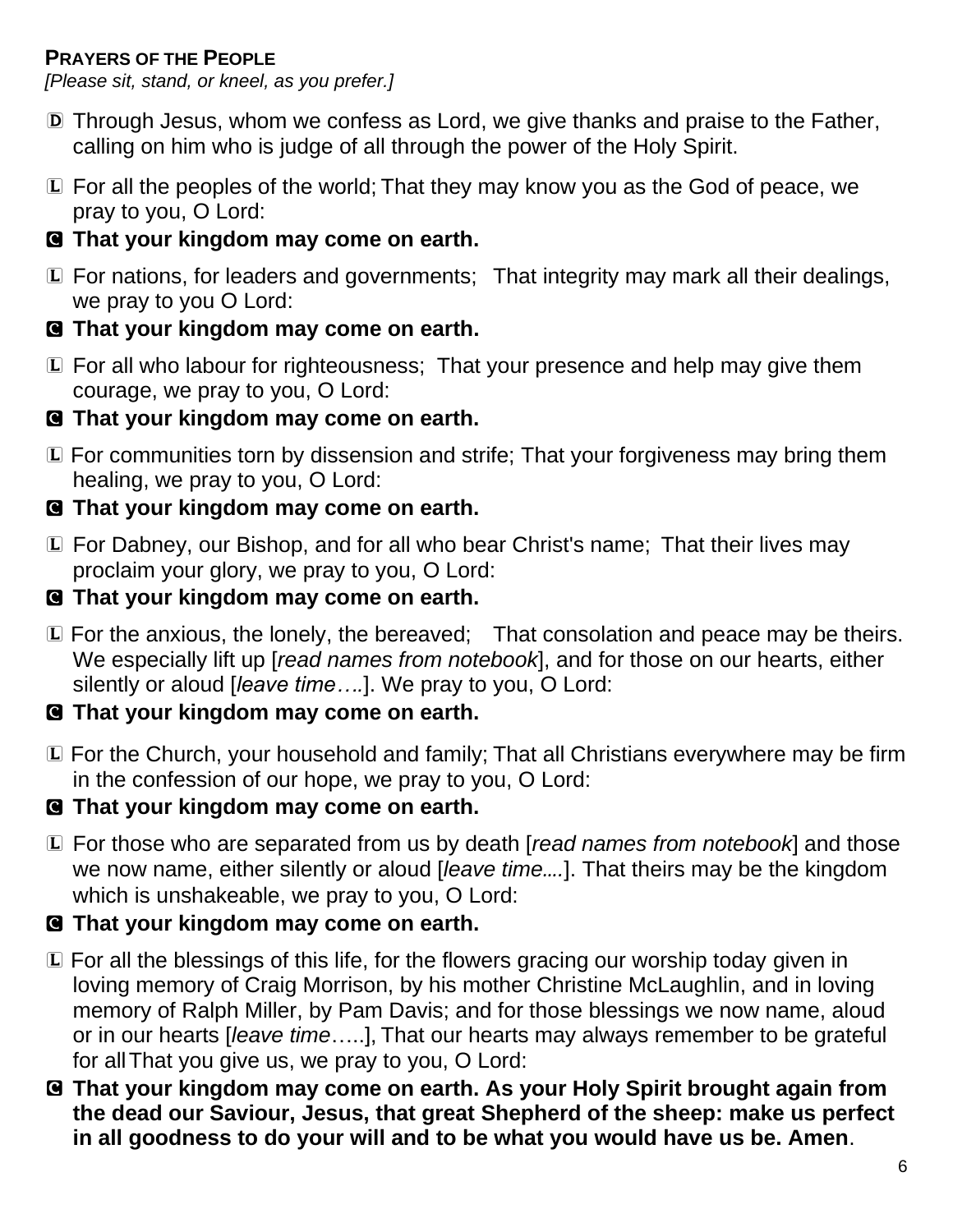## **PRAYERS OF THE PEOPLE**

*[Please sit, stand, or kneel, as you prefer.]*

- D Through Jesus, whom we confess as Lord, we give thanks and praise to the Father, calling on him who is judge of all through the power of the Holy Spirit.
- L For all the peoples of the world; That they may know you as the God of peace, we pray to you, O Lord:
- C **That your kingdom may come on earth.**
- L For nations, for leaders and governments; That integrity may mark all their dealings, we pray to you O Lord:
- C **That your kingdom may come on earth.**
- L For all who labour for righteousness; That your presence and help may give them courage, we pray to you, O Lord:
- C **That your kingdom may come on earth.**
- L For communities torn by dissension and strife; That your forgiveness may bring them healing, we pray to you, O Lord:
- C **That your kingdom may come on earth.**
- L For Dabney, our Bishop, and for all who bear Christ's name; That their lives may proclaim your glory, we pray to you, O Lord:
- C **That your kingdom may come on earth.**
- L For the anxious, the lonely, the bereaved; That consolation and peace may be theirs. We especially lift up [*read names from notebook*], and for those on our hearts, either silently or aloud [*leave time….*]. We pray to you, O Lord:
- C **That your kingdom may come on earth.**
- L For the Church, your household and family; That all Christians everywhere may be firm in the confession of our hope, we pray to you, O Lord:
- C **That your kingdom may come on earth.**
- L For those who are separated from us by death [*read names from notebook*] and those we now name, either silently or aloud [*leave time….*]. That theirs may be the kingdom which is unshakeable, we pray to you, O Lord:
- C **That your kingdom may come on earth.**
- L For all the blessings of this life, for the flowers gracing our worship today given in loving memory of Craig Morrison, by his mother Christine McLaughlin, and in loving memory of Ralph Miller, by Pam Davis; and for those blessings we now name, aloud or in our hearts [*leave time*…..], That our hearts may always remember to be grateful for allThat you give us, we pray to you, O Lord:
- C **That your kingdom may come on earth. As your Holy Spirit brought again from the dead our Saviour, Jesus, that great Shepherd of the sheep: make us perfect in all goodness to do your will and to be what you would have us be. Amen**.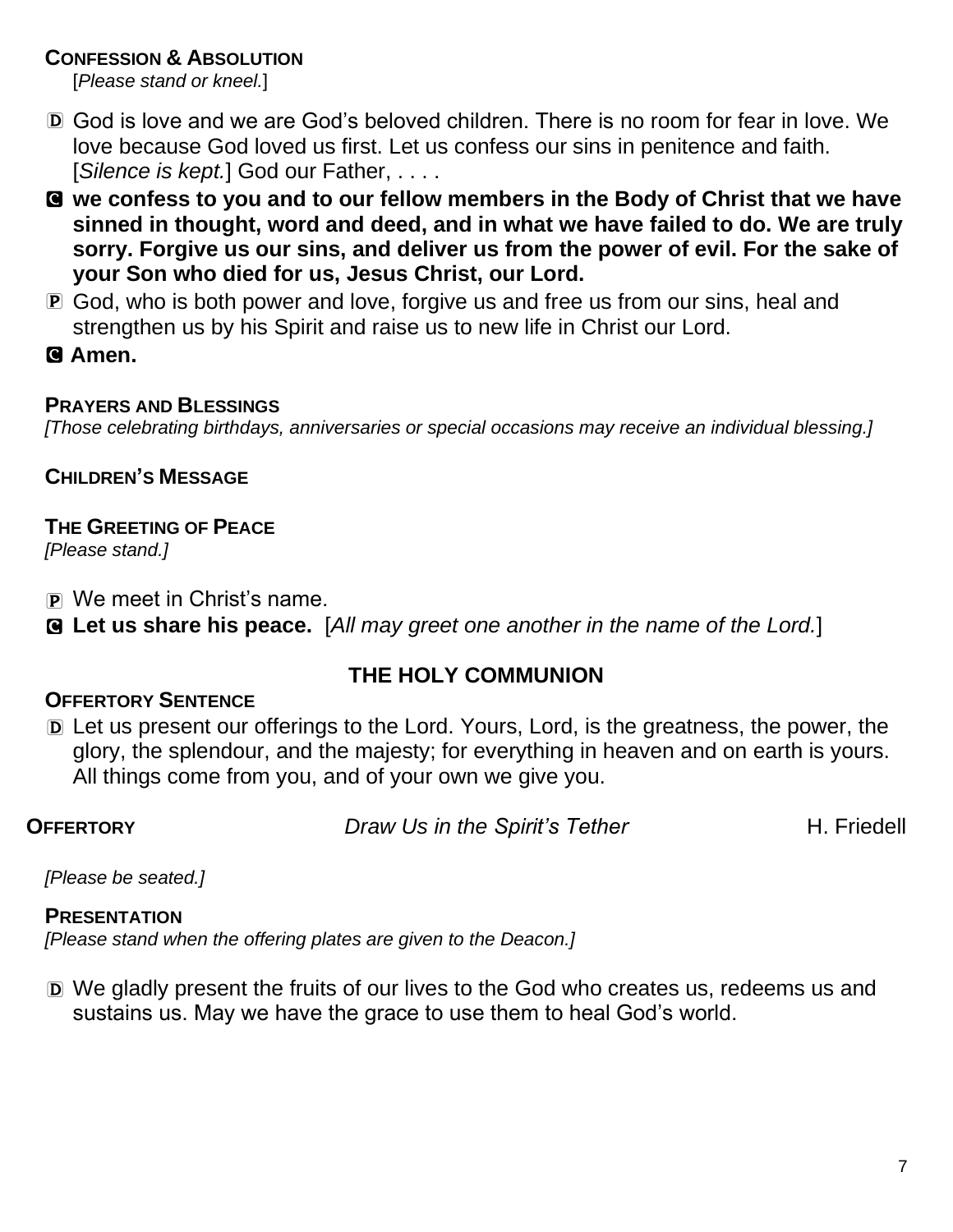### **CONFESSION & ABSOLUTION**

[*Please stand or kneel.*]

- D God is love and we are God's beloved children. There is no room for fear in love. We love because God loved us first. Let us confess our sins in penitence and faith. [*Silence is kept.*] God our Father, . . . .
- C **we confess to you and to our fellow members in the Body of Christ that we have sinned in thought, word and deed, and in what we have failed to do. We are truly sorry. Forgive us our sins, and deliver us from the power of evil. For the sake of your Son who died for us, Jesus Christ, our Lord.**
- P God, who is both power and love, forgive us and free us from our sins, heal and strengthen us by his Spirit and raise us to new life in Christ our Lord.
- C **Amen.**

#### **PRAYERS AND BLESSINGS**

*[Those celebrating birthdays, anniversaries or special occasions may receive an individual blessing.]*

### **CHILDREN'S MESSAGE**

#### **THE GREETING OF PEACE**

*[Please stand.]*

- P We meet in Christ's name.
- C **Let us share his peace.** [*All may greet one another in the name of the Lord.*]

## **OFFERTORY SENTENCE**

## **THE HOLY COMMUNION**

D Let us present our offerings to the Lord. Yours, Lord, is the greatness, the power, the glory, the splendour, and the majesty; for everything in heaven and on earth is yours. All things come from you, and of your own we give you.

**OFFERTORY** *Draw Us in the Spirit's Tether* **H. Friedell** 

*[Please be seated.]*

#### **PRESENTATION**

*[Please stand when the offering plates are given to the Deacon.]*

D We gladly present the fruits of our lives to the God who creates us, redeems us and sustains us. May we have the grace to use them to heal God's world.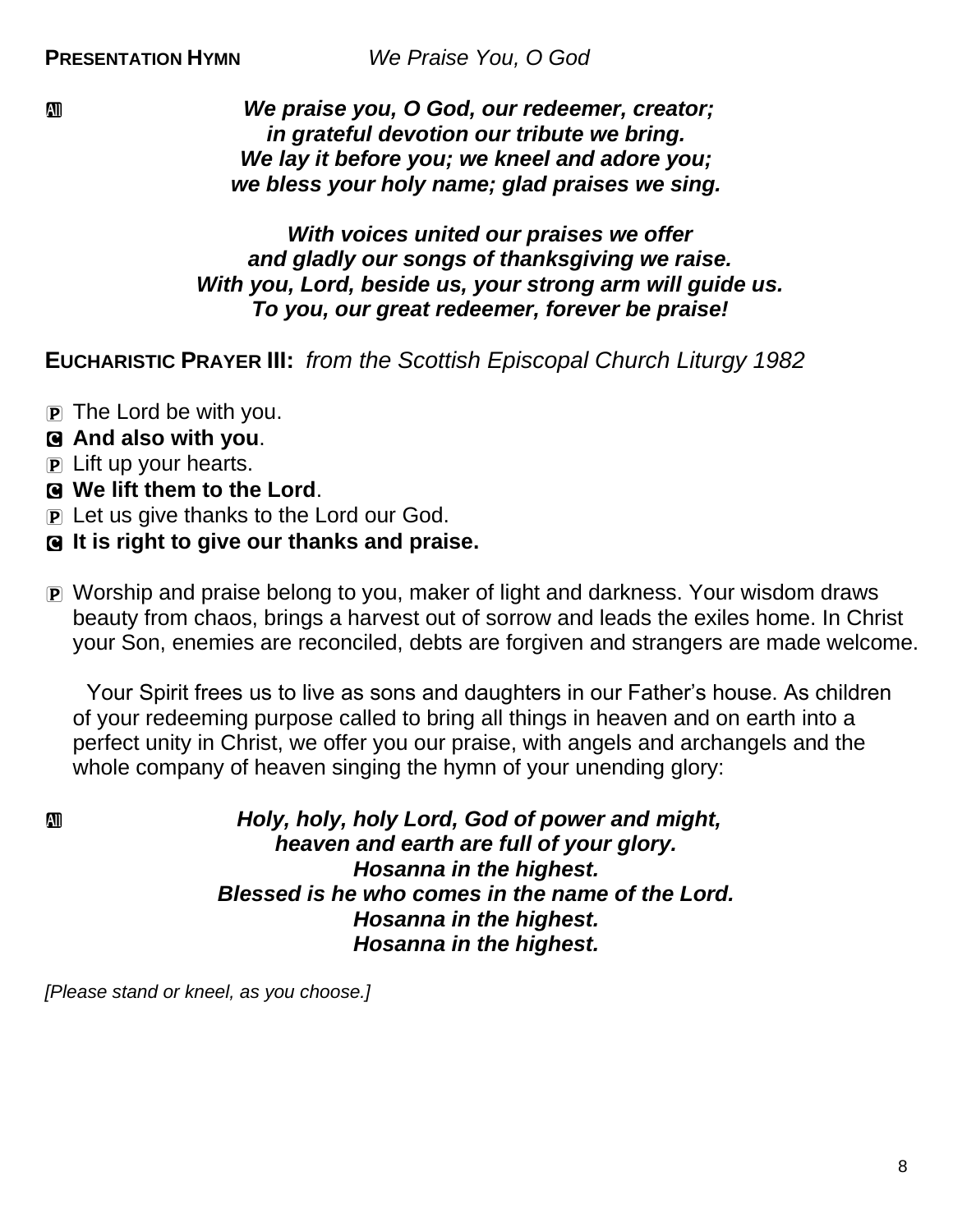## *A**We praise you, O God, our redeemer, creator; in grateful devotion our tribute we bring. We lay it before you; we kneel and adore you; we bless your holy name; glad praises we sing.*

## *With voices united our praises we offer and gladly our songs of thanksgiving we raise. With you, Lord, beside us, your strong arm will guide us. To you, our great redeemer, forever be praise!*

## **EUCHARISTIC PRAYER III:** *from the Scottish Episcopal Church Liturgy 1982*

- P The Lord be with you.
- C **And also with you**.
- P Lift up your hearts.
- C **We lift them to the Lord**.
- P Let us give thanks to the Lord our God.
- C **It is right to give our thanks and praise.**
- P Worship and praise belong to you, maker of light and darkness. Your wisdom draws beauty from chaos, brings a harvest out of sorrow and leads the exiles home. In Christ your Son, enemies are reconciled, debts are forgiven and strangers are made welcome.

Your Spirit frees us to live as sons and daughters in our Father's house. As children of your redeeming purpose called to bring all things in heaven and on earth into a perfect unity in Christ, we offer you our praise, with angels and archangels and the whole company of heaven singing the hymn of your unending glory:

a *Holy, holy, holy Lord, God of power and might, heaven and earth are full of your glory. Hosanna in the highest. Blessed is he who comes in the name of the Lord. Hosanna in the highest. Hosanna in the highest.*

*[Please stand or kneel, as you choose.]*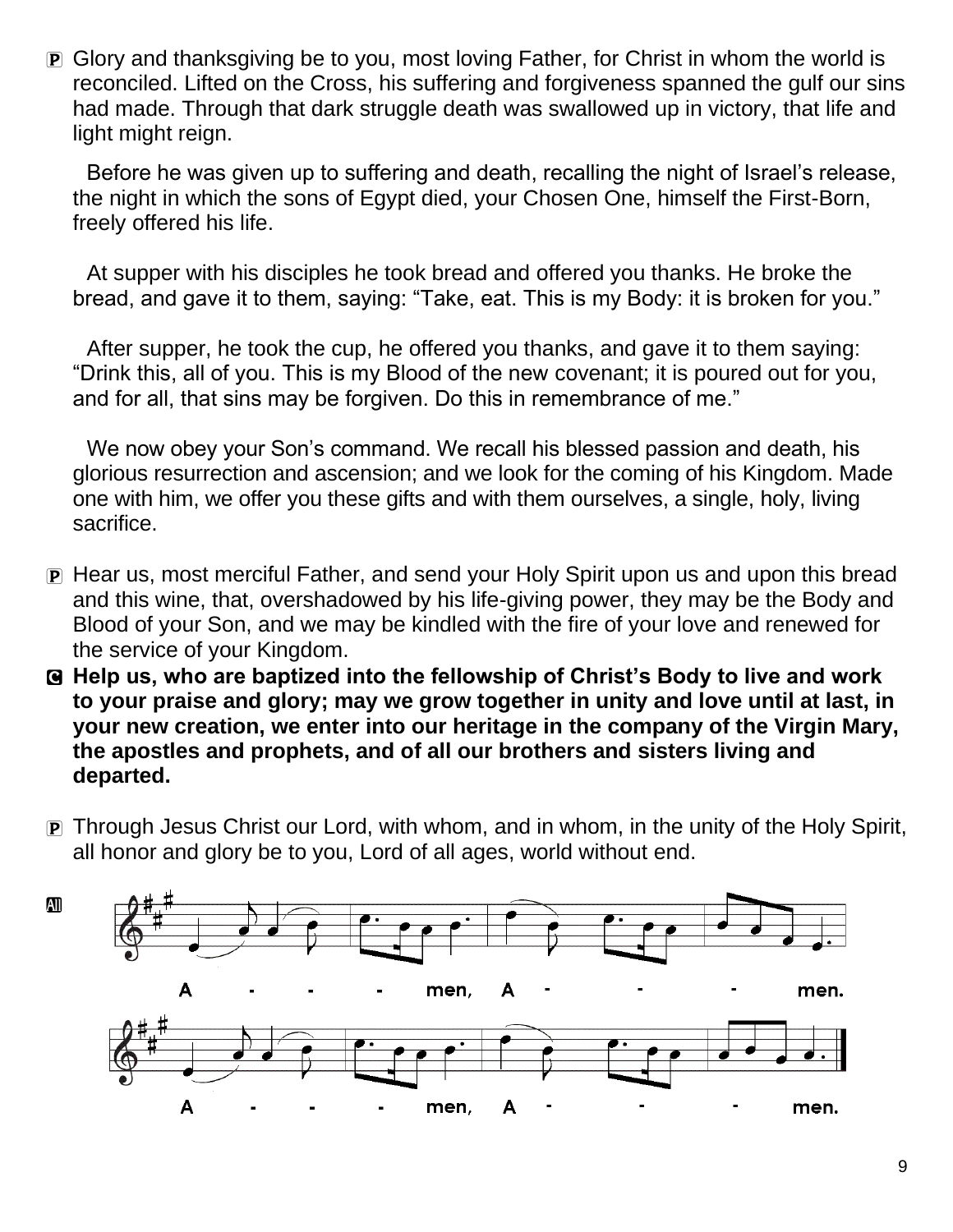P Glory and thanksgiving be to you, most loving Father, for Christ in whom the world is reconciled. Lifted on the Cross, his suffering and forgiveness spanned the gulf our sins had made. Through that dark struggle death was swallowed up in victory, that life and light might reign.

Before he was given up to suffering and death, recalling the night of Israel's release, the night in which the sons of Egypt died, your Chosen One, himself the First-Born, freely offered his life.

At supper with his disciples he took bread and offered you thanks. He broke the bread, and gave it to them, saying: "Take, eat. This is my Body: it is broken for you."

After supper, he took the cup, he offered you thanks, and gave it to them saying: "Drink this, all of you. This is my Blood of the new covenant; it is poured out for you, and for all, that sins may be forgiven. Do this in remembrance of me."

We now obey your Son's command. We recall his blessed passion and death, his glorious resurrection and ascension; and we look for the coming of his Kingdom. Made one with him, we offer you these gifts and with them ourselves, a single, holy, living sacrifice.

- P Hear us, most merciful Father, and send your Holy Spirit upon us and upon this bread and this wine, that, overshadowed by his life-giving power, they may be the Body and Blood of your Son, and we may be kindled with the fire of your love and renewed for the service of your Kingdom.
- C **Help us, who are baptized into the fellowship of Christ's Body to live and work to your praise and glory; may we grow together in unity and love until at last, in your new creation, we enter into our heritage in the company of the Virgin Mary, the apostles and prophets, and of all our brothers and sisters living and departed.**
- P Through Jesus Christ our Lord, with whom, and in whom, in the unity of the Holy Spirit, all honor and glory be to you, Lord of all ages, world without end.

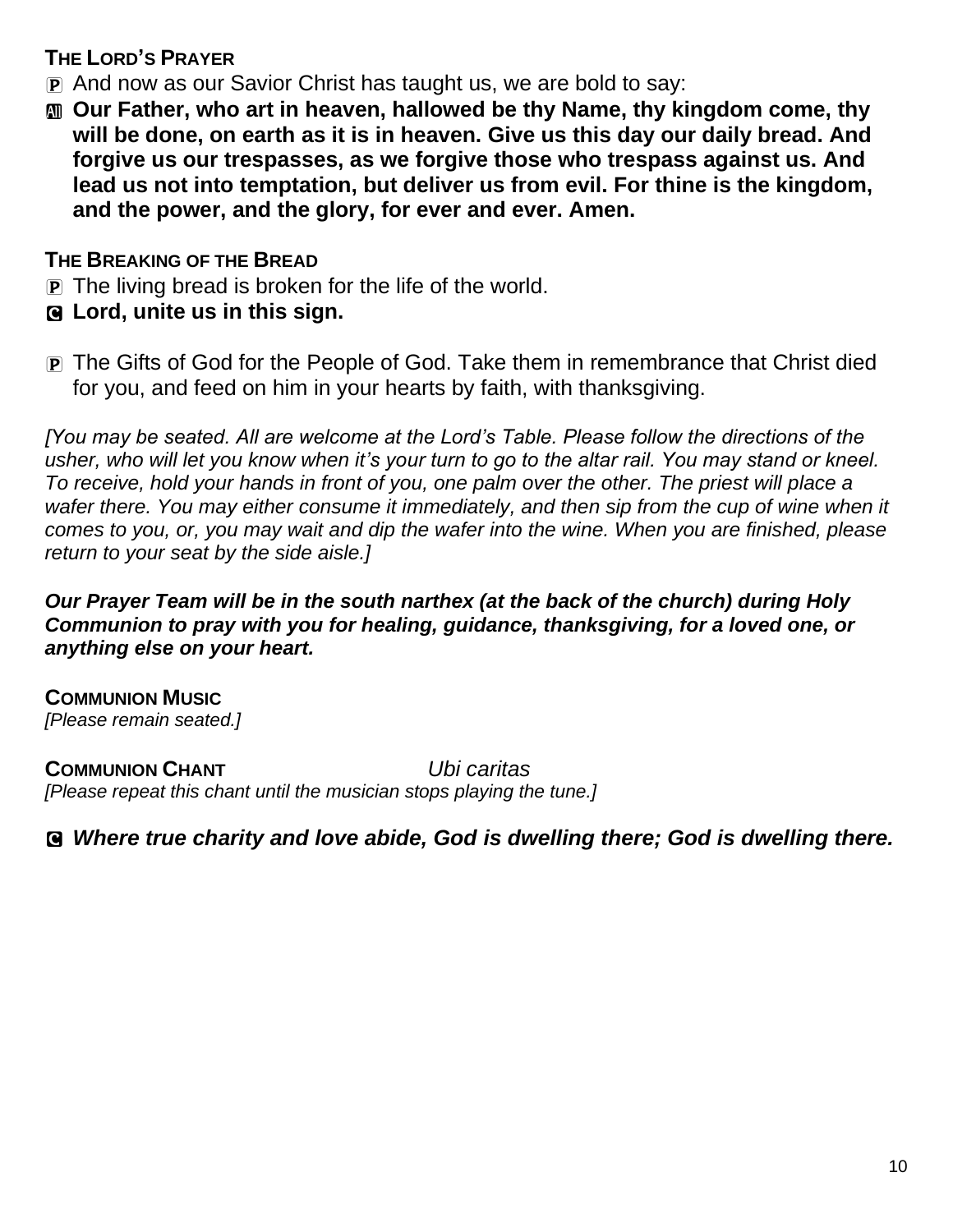## **THE LORD'S PRAYER**

- P And now as our Savior Christ has taught us, we are bold to say:
- $\mathbf{m}$  **Our Father, who art in heaven, hallowed be thy Name, thy kingdom come, thy will be done, on earth as it is in heaven. Give us this day our daily bread. And forgive us our trespasses, as we forgive those who trespass against us. And lead us not into temptation, but deliver us from evil. For thine is the kingdom, and the power, and the glory, for ever and ever. Amen.**

## **THE BREAKING OF THE BREAD**

- P The living bread is broken for the life of the world.
- C **Lord, unite us in this sign.**
- P The Gifts of God for the People of God. Take them in remembrance that Christ died for you, and feed on him in your hearts by faith, with thanksgiving.

*[You may be seated. All are welcome at the Lord's Table. Please follow the directions of the usher, who will let you know when it's your turn to go to the altar rail. You may stand or kneel. To receive, hold your hands in front of you, one palm over the other. The priest will place a wafer there. You may either consume it immediately, and then sip from the cup of wine when it comes to you, or, you may wait and dip the wafer into the wine. When you are finished, please return to your seat by the side aisle.]*

#### *Our Prayer Team will be in the south narthex (at the back of the church) during Holy Communion to pray with you for healing, guidance, thanksgiving, for a loved one, or anything else on your heart.*

**COMMUNION MUSIC** *[Please remain seated.]*

**COMMUNION CHANT** *Ubi caritas [Please repeat this chant until the musician stops playing the tune.]*

# C *Where true charity and love abide, God is dwelling there; God is dwelling there.*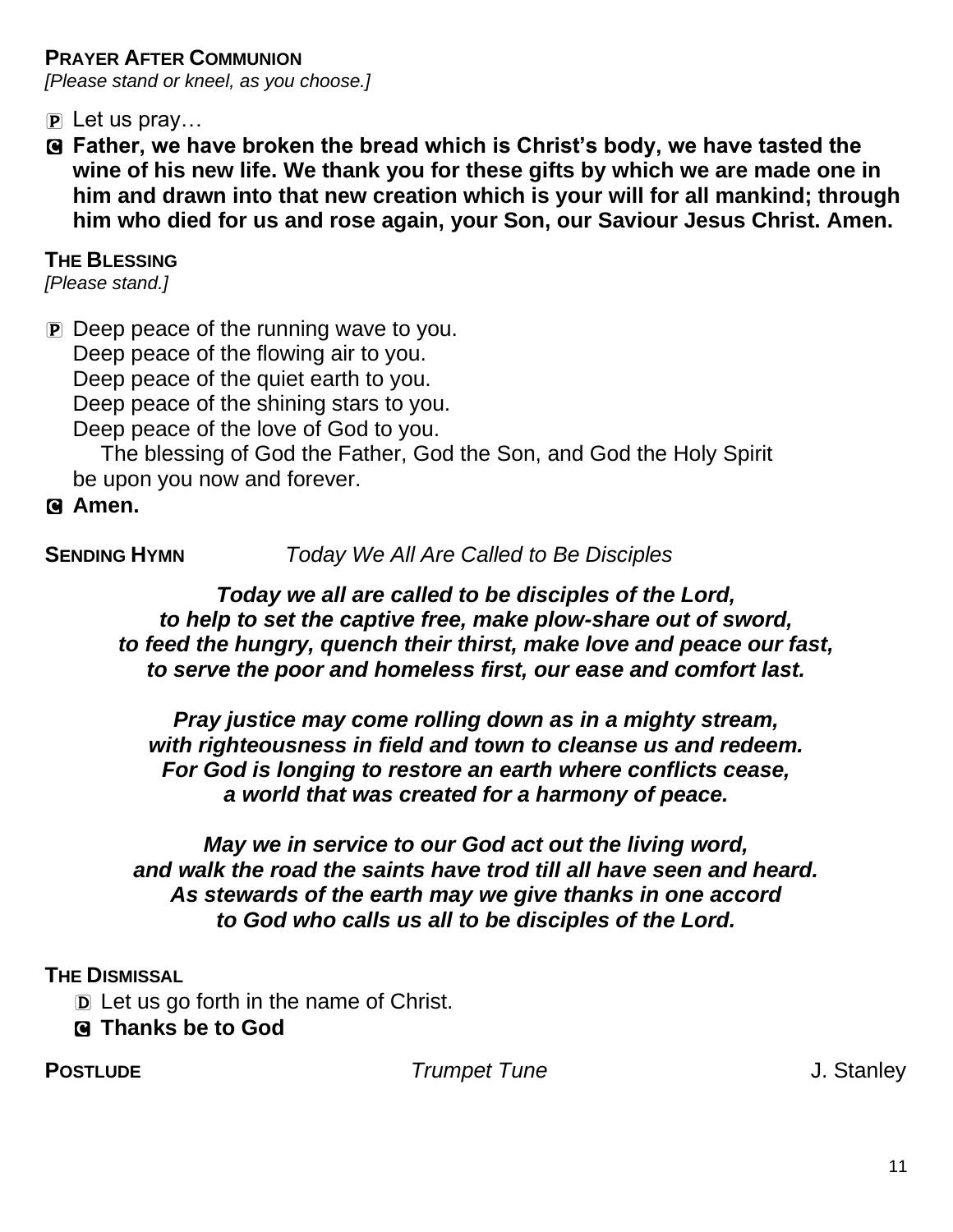**PRAYER AFTER COMMUNION**

*[Please stand or kneel, as you choose.]*

 $\mathbf{P}$  Let us pray...

C **Father, we have broken the bread which is Christ's body, we have tasted the wine of his new life. We thank you for these gifts by which we are made one in him and drawn into that new creation which is your will for all mankind; through him who died for us and rose again, your Son, our Saviour Jesus Christ. Amen.**

**THE BLESSING**

*[Please stand.]*

P Deep peace of the running wave to you.

Deep peace of the flowing air to you.

Deep peace of the quiet earth to you.

Deep peace of the shining stars to you.

Deep peace of the love of God to you.

The blessing of God the Father, God the Son, and God the Holy Spirit be upon you now and forever.

C **Amen.**

**SENDING HYMN** *Today We All Are Called to Be Disciples*

*Today we all are called to be disciples of the Lord, to help to set the captive free, make plow-share out of sword, to feed the hungry, quench their thirst, make love and peace our fast, to serve the poor and homeless first, our ease and comfort last.* 

*Pray justice may come rolling down as in a mighty stream, with righteousness in field and town to cleanse us and redeem. For God is longing to restore an earth where conflicts cease, a world that was created for a harmony of peace.* 

*May we in service to our God act out the living word, and walk the road the saints have trod till all have seen and heard. As stewards of the earth may we give thanks in one accord to God who calls us all to be disciples of the Lord.* 

## **THE DISMISSAL**

- D Let us go forth in the name of Christ.
- C **Thanks be to God**

**POSTLUDE** *Trumpet Tune J. Stanley*